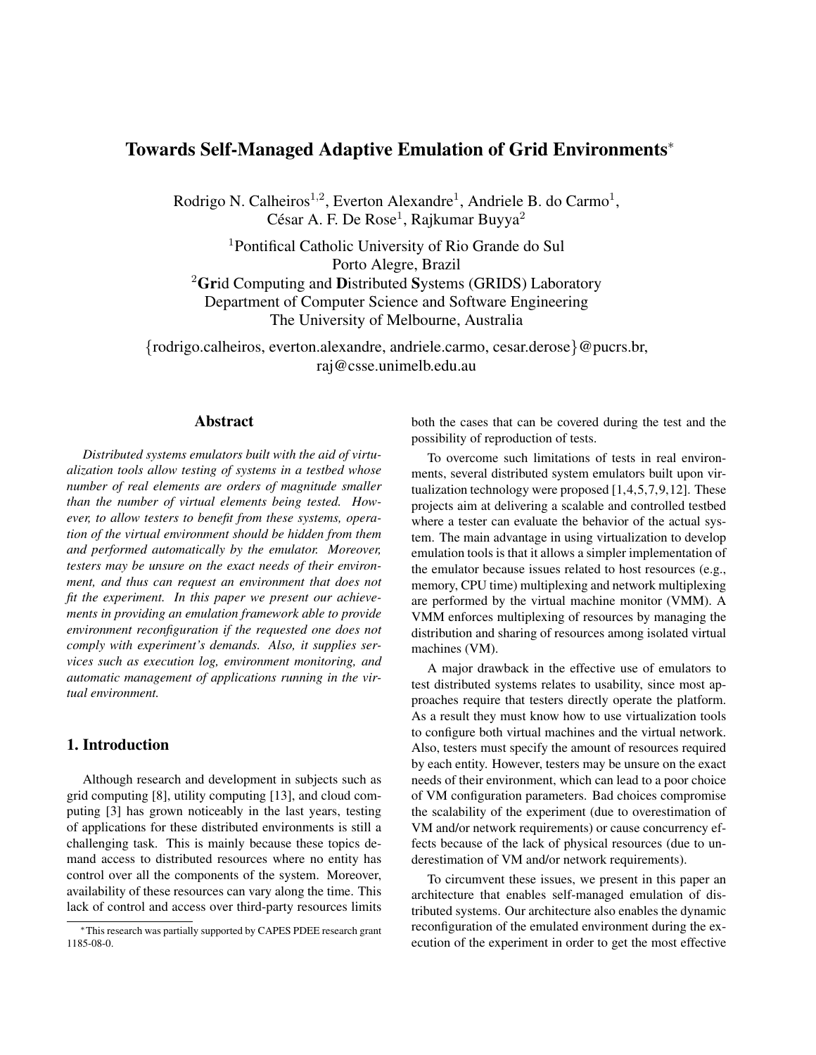# Towards Self-Managed Adaptive Emulation of Grid Environments<sup>∗</sup>

Rodrigo N. Calheiros<sup>1,2</sup>, Everton Alexandre<sup>1</sup>, Andriele B. do Carmo<sup>1</sup>, César A. F. De Rose<sup>1</sup>, Rajkumar Buyya<sup>2</sup>

<sup>1</sup>Pontifical Catholic University of Rio Grande do Sul Porto Alegre, Brazil <sup>2</sup>Grid Computing and Distributed Systems (GRIDS) Laboratory Department of Computer Science and Software Engineering The University of Melbourne, Australia

{rodrigo.calheiros, everton.alexandre, andriele.carmo, cesar.derose}@pucrs.br, raj@csse.unimelb.edu.au

### Abstract

*Distributed systems emulators built with the aid of virtualization tools allow testing of systems in a testbed whose number of real elements are orders of magnitude smaller than the number of virtual elements being tested. However, to allow testers to benefit from these systems, operation of the virtual environment should be hidden from them and performed automatically by the emulator. Moreover, testers may be unsure on the exact needs of their environment, and thus can request an environment that does not fit the experiment. In this paper we present our achievements in providing an emulation framework able to provide environment reconfiguration if the requested one does not comply with experiment's demands. Also, it supplies services such as execution log, environment monitoring, and automatic management of applications running in the virtual environment.*

### 1. Introduction

Although research and development in subjects such as grid computing [8], utility computing [13], and cloud computing [3] has grown noticeably in the last years, testing of applications for these distributed environments is still a challenging task. This is mainly because these topics demand access to distributed resources where no entity has control over all the components of the system. Moreover, availability of these resources can vary along the time. This lack of control and access over third-party resources limits

both the cases that can be covered during the test and the possibility of reproduction of tests.

To overcome such limitations of tests in real environments, several distributed system emulators built upon virtualization technology were proposed [1,4,5,7,9,12]. These projects aim at delivering a scalable and controlled testbed where a tester can evaluate the behavior of the actual system. The main advantage in using virtualization to develop emulation tools is that it allows a simpler implementation of the emulator because issues related to host resources (e.g., memory, CPU time) multiplexing and network multiplexing are performed by the virtual machine monitor (VMM). A VMM enforces multiplexing of resources by managing the distribution and sharing of resources among isolated virtual machines (VM).

A major drawback in the effective use of emulators to test distributed systems relates to usability, since most approaches require that testers directly operate the platform. As a result they must know how to use virtualization tools to configure both virtual machines and the virtual network. Also, testers must specify the amount of resources required by each entity. However, testers may be unsure on the exact needs of their environment, which can lead to a poor choice of VM configuration parameters. Bad choices compromise the scalability of the experiment (due to overestimation of VM and/or network requirements) or cause concurrency effects because of the lack of physical resources (due to underestimation of VM and/or network requirements).

To circumvent these issues, we present in this paper an architecture that enables self-managed emulation of distributed systems. Our architecture also enables the dynamic reconfiguration of the emulated environment during the execution of the experiment in order to get the most effective

<sup>∗</sup>This research was partially supported by CAPES PDEE research grant 1185-08-0.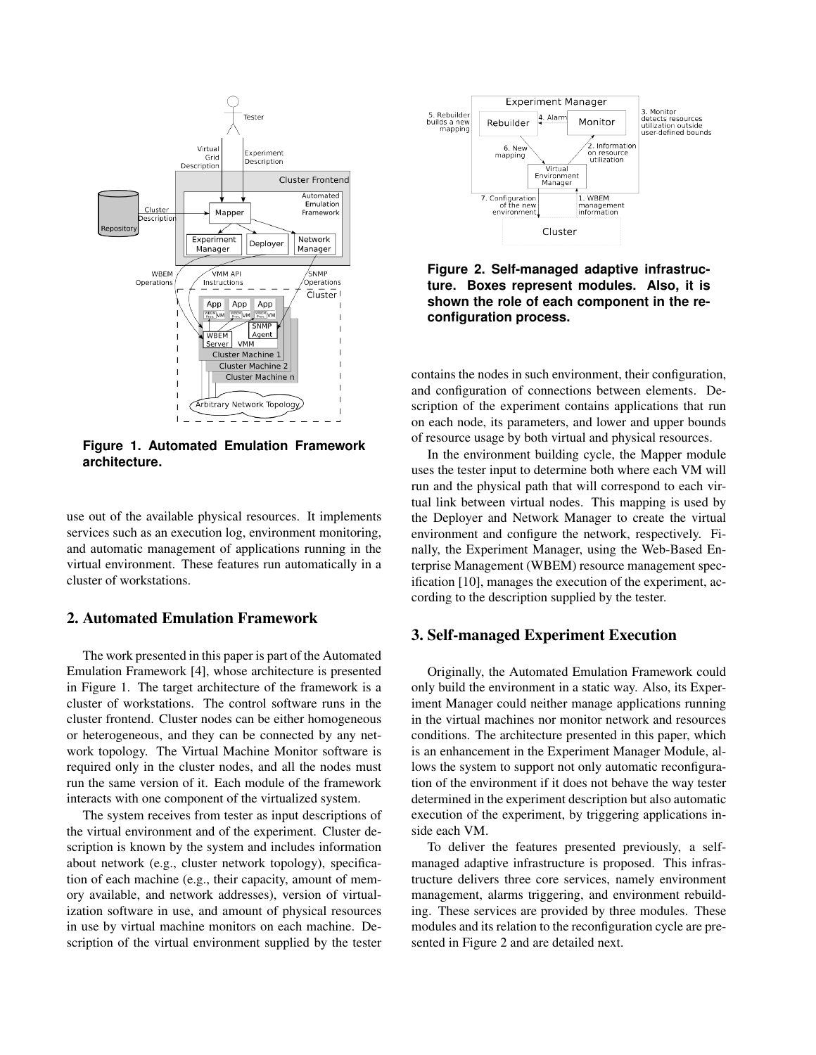

**Figure 1. Automated Emulation Framework architecture.**

use out of the available physical resources. It implements services such as an execution log, environment monitoring, and automatic management of applications running in the virtual environment. These features run automatically in a cluster of workstations.

### 2. Automated Emulation Framework

The work presented in this paper is part of the Automated Emulation Framework [4], whose architecture is presented in Figure 1. The target architecture of the framework is a cluster of workstations. The control software runs in the cluster frontend. Cluster nodes can be either homogeneous or heterogeneous, and they can be connected by any network topology. The Virtual Machine Monitor software is required only in the cluster nodes, and all the nodes must run the same version of it. Each module of the framework interacts with one component of the virtualized system.

The system receives from tester as input descriptions of the virtual environment and of the experiment. Cluster description is known by the system and includes information about network (e.g., cluster network topology), specification of each machine (e.g., their capacity, amount of memory available, and network addresses), version of virtualization software in use, and amount of physical resources in use by virtual machine monitors on each machine. Description of the virtual environment supplied by the tester



**Figure 2. Self-managed adaptive infrastructure. Boxes represent modules. Also, it is shown the role of each component in the reconfiguration process.**

contains the nodes in such environment, their configuration, and configuration of connections between elements. Description of the experiment contains applications that run on each node, its parameters, and lower and upper bounds of resource usage by both virtual and physical resources.

In the environment building cycle, the Mapper module uses the tester input to determine both where each VM will run and the physical path that will correspond to each virtual link between virtual nodes. This mapping is used by the Deployer and Network Manager to create the virtual environment and configure the network, respectively. Finally, the Experiment Manager, using the Web-Based Enterprise Management (WBEM) resource management specification [10], manages the execution of the experiment, according to the description supplied by the tester.

### 3. Self-managed Experiment Execution

Originally, the Automated Emulation Framework could only build the environment in a static way. Also, its Experiment Manager could neither manage applications running in the virtual machines nor monitor network and resources conditions. The architecture presented in this paper, which is an enhancement in the Experiment Manager Module, allows the system to support not only automatic reconfiguration of the environment if it does not behave the way tester determined in the experiment description but also automatic execution of the experiment, by triggering applications inside each VM.

To deliver the features presented previously, a selfmanaged adaptive infrastructure is proposed. This infrastructure delivers three core services, namely environment management, alarms triggering, and environment rebuilding. These services are provided by three modules. These modules and its relation to the reconfiguration cycle are presented in Figure 2 and are detailed next.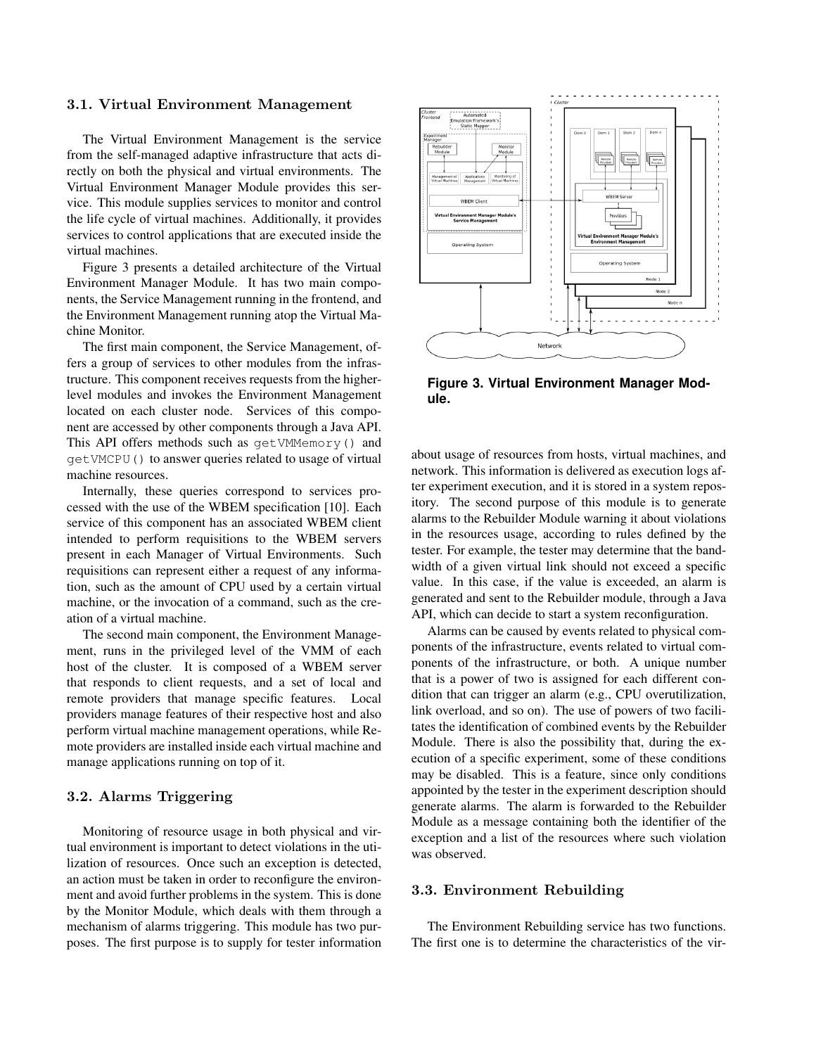#### 3.1. Virtual Environment Management

The Virtual Environment Management is the service from the self-managed adaptive infrastructure that acts directly on both the physical and virtual environments. The Virtual Environment Manager Module provides this service. This module supplies services to monitor and control the life cycle of virtual machines. Additionally, it provides services to control applications that are executed inside the virtual machines.

Figure 3 presents a detailed architecture of the Virtual Environment Manager Module. It has two main components, the Service Management running in the frontend, and the Environment Management running atop the Virtual Machine Monitor.

The first main component, the Service Management, offers a group of services to other modules from the infrastructure. This component receives requests from the higherlevel modules and invokes the Environment Management located on each cluster node. Services of this component are accessed by other components through a Java API. This API offers methods such as getVMMemory() and getVMCPU() to answer queries related to usage of virtual machine resources.

Internally, these queries correspond to services processed with the use of the WBEM specification [10]. Each service of this component has an associated WBEM client intended to perform requisitions to the WBEM servers present in each Manager of Virtual Environments. Such requisitions can represent either a request of any information, such as the amount of CPU used by a certain virtual machine, or the invocation of a command, such as the creation of a virtual machine.

The second main component, the Environment Management, runs in the privileged level of the VMM of each host of the cluster. It is composed of a WBEM server that responds to client requests, and a set of local and remote providers that manage specific features. Local providers manage features of their respective host and also perform virtual machine management operations, while Remote providers are installed inside each virtual machine and manage applications running on top of it.

### 3.2. Alarms Triggering

Monitoring of resource usage in both physical and virtual environment is important to detect violations in the utilization of resources. Once such an exception is detected, an action must be taken in order to reconfigure the environment and avoid further problems in the system. This is done by the Monitor Module, which deals with them through a mechanism of alarms triggering. This module has two purposes. The first purpose is to supply for tester information



**Figure 3. Virtual Environment Manager Module.**

about usage of resources from hosts, virtual machines, and network. This information is delivered as execution logs after experiment execution, and it is stored in a system repository. The second purpose of this module is to generate alarms to the Rebuilder Module warning it about violations in the resources usage, according to rules defined by the tester. For example, the tester may determine that the bandwidth of a given virtual link should not exceed a specific value. In this case, if the value is exceeded, an alarm is generated and sent to the Rebuilder module, through a Java API, which can decide to start a system reconfiguration.

Alarms can be caused by events related to physical components of the infrastructure, events related to virtual components of the infrastructure, or both. A unique number that is a power of two is assigned for each different condition that can trigger an alarm (e.g., CPU overutilization, link overload, and so on). The use of powers of two facilitates the identification of combined events by the Rebuilder Module. There is also the possibility that, during the execution of a specific experiment, some of these conditions may be disabled. This is a feature, since only conditions appointed by the tester in the experiment description should generate alarms. The alarm is forwarded to the Rebuilder Module as a message containing both the identifier of the exception and a list of the resources where such violation was observed.

#### 3.3. Environment Rebuilding

The Environment Rebuilding service has two functions. The first one is to determine the characteristics of the vir-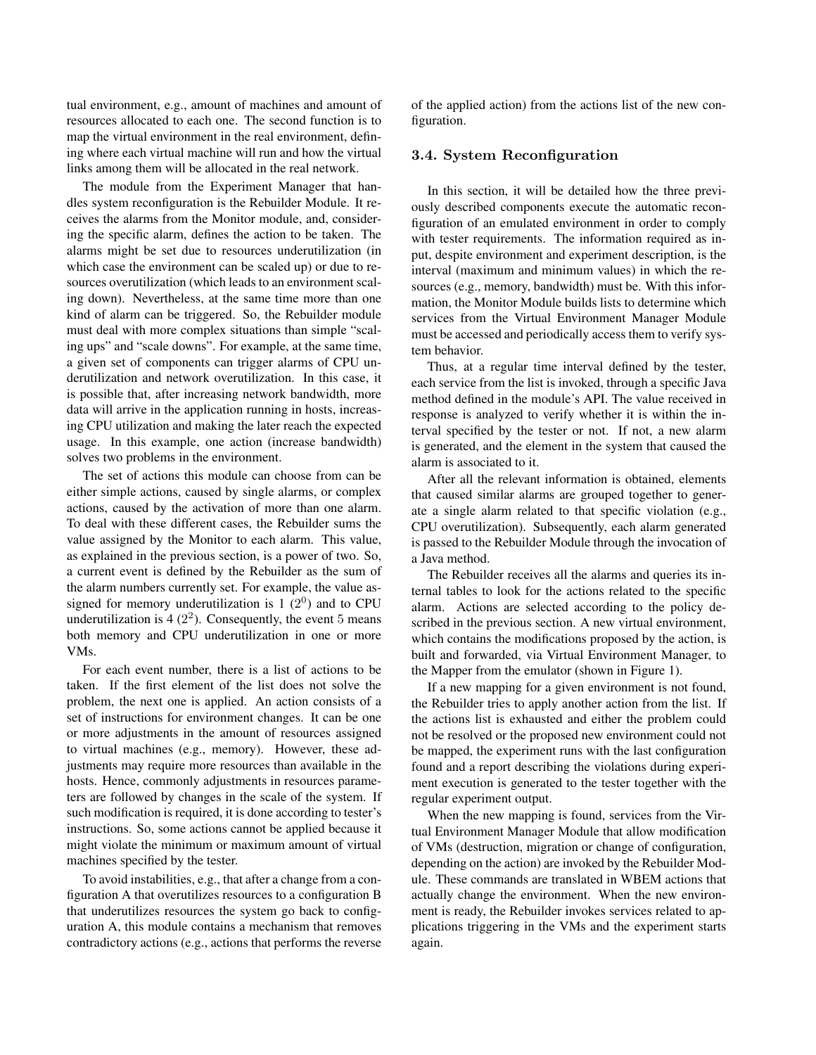tual environment, e.g., amount of machines and amount of resources allocated to each one. The second function is to map the virtual environment in the real environment, defining where each virtual machine will run and how the virtual links among them will be allocated in the real network.

The module from the Experiment Manager that handles system reconfiguration is the Rebuilder Module. It receives the alarms from the Monitor module, and, considering the specific alarm, defines the action to be taken. The alarms might be set due to resources underutilization (in which case the environment can be scaled up) or due to resources overutilization (which leads to an environment scaling down). Nevertheless, at the same time more than one kind of alarm can be triggered. So, the Rebuilder module must deal with more complex situations than simple "scaling ups" and "scale downs". For example, at the same time, a given set of components can trigger alarms of CPU underutilization and network overutilization. In this case, it is possible that, after increasing network bandwidth, more data will arrive in the application running in hosts, increasing CPU utilization and making the later reach the expected usage. In this example, one action (increase bandwidth) solves two problems in the environment.

The set of actions this module can choose from can be either simple actions, caused by single alarms, or complex actions, caused by the activation of more than one alarm. To deal with these different cases, the Rebuilder sums the value assigned by the Monitor to each alarm. This value, as explained in the previous section, is a power of two. So, a current event is defined by the Rebuilder as the sum of the alarm numbers currently set. For example, the value assigned for memory underutilization is  $1(2^0)$  and to CPU underutilization is  $4(2^2)$ . Consequently, the event 5 means both memory and CPU underutilization in one or more VMs.

For each event number, there is a list of actions to be taken. If the first element of the list does not solve the problem, the next one is applied. An action consists of a set of instructions for environment changes. It can be one or more adjustments in the amount of resources assigned to virtual machines (e.g., memory). However, these adjustments may require more resources than available in the hosts. Hence, commonly adjustments in resources parameters are followed by changes in the scale of the system. If such modification is required, it is done according to tester's instructions. So, some actions cannot be applied because it might violate the minimum or maximum amount of virtual machines specified by the tester.

To avoid instabilities, e.g., that after a change from a configuration A that overutilizes resources to a configuration B that underutilizes resources the system go back to configuration A, this module contains a mechanism that removes contradictory actions (e.g., actions that performs the reverse of the applied action) from the actions list of the new configuration.

### 3.4. System Reconfiguration

In this section, it will be detailed how the three previously described components execute the automatic reconfiguration of an emulated environment in order to comply with tester requirements. The information required as input, despite environment and experiment description, is the interval (maximum and minimum values) in which the resources (e.g., memory, bandwidth) must be. With this information, the Monitor Module builds lists to determine which services from the Virtual Environment Manager Module must be accessed and periodically access them to verify system behavior.

Thus, at a regular time interval defined by the tester, each service from the list is invoked, through a specific Java method defined in the module's API. The value received in response is analyzed to verify whether it is within the interval specified by the tester or not. If not, a new alarm is generated, and the element in the system that caused the alarm is associated to it.

After all the relevant information is obtained, elements that caused similar alarms are grouped together to generate a single alarm related to that specific violation (e.g., CPU overutilization). Subsequently, each alarm generated is passed to the Rebuilder Module through the invocation of a Java method.

The Rebuilder receives all the alarms and queries its internal tables to look for the actions related to the specific alarm. Actions are selected according to the policy described in the previous section. A new virtual environment, which contains the modifications proposed by the action, is built and forwarded, via Virtual Environment Manager, to the Mapper from the emulator (shown in Figure 1).

If a new mapping for a given environment is not found, the Rebuilder tries to apply another action from the list. If the actions list is exhausted and either the problem could not be resolved or the proposed new environment could not be mapped, the experiment runs with the last configuration found and a report describing the violations during experiment execution is generated to the tester together with the regular experiment output.

When the new mapping is found, services from the Virtual Environment Manager Module that allow modification of VMs (destruction, migration or change of configuration, depending on the action) are invoked by the Rebuilder Module. These commands are translated in WBEM actions that actually change the environment. When the new environment is ready, the Rebuilder invokes services related to applications triggering in the VMs and the experiment starts again.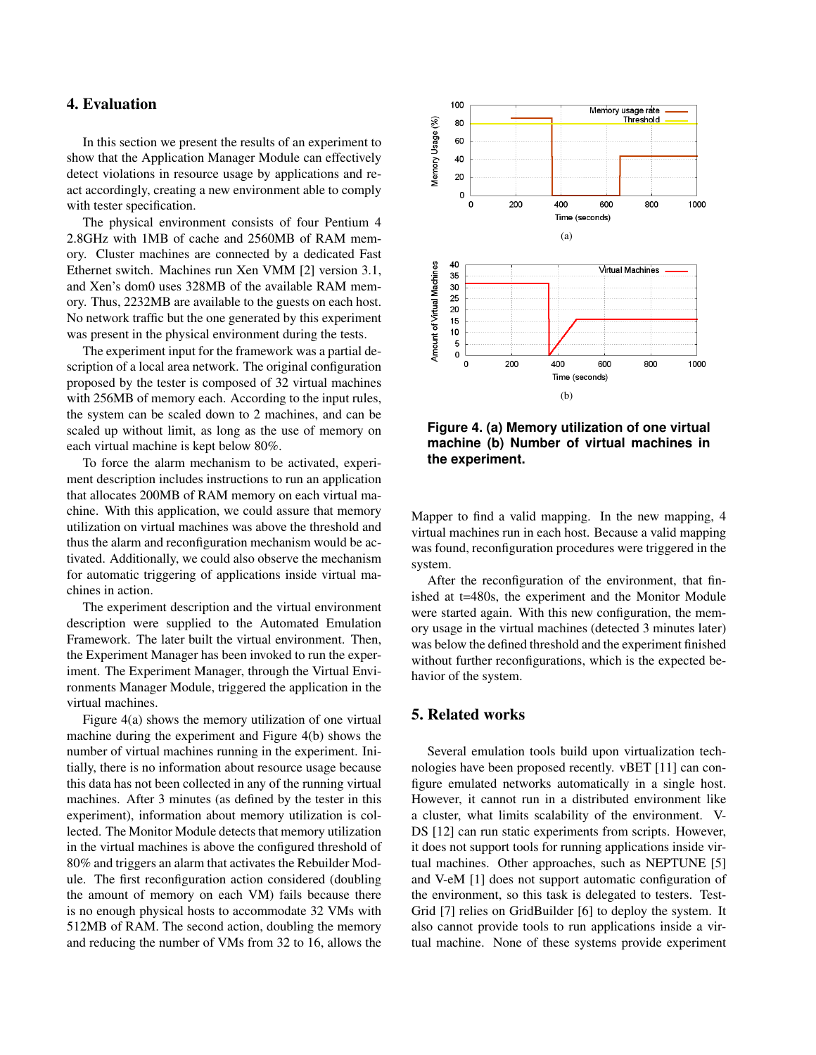## 4. Evaluation

In this section we present the results of an experiment to show that the Application Manager Module can effectively detect violations in resource usage by applications and react accordingly, creating a new environment able to comply with tester specification.

The physical environment consists of four Pentium 4 2.8GHz with 1MB of cache and 2560MB of RAM memory. Cluster machines are connected by a dedicated Fast Ethernet switch. Machines run Xen VMM [2] version 3.1, and Xen's dom0 uses 328MB of the available RAM memory. Thus, 2232MB are available to the guests on each host. No network traffic but the one generated by this experiment was present in the physical environment during the tests.

The experiment input for the framework was a partial description of a local area network. The original configuration proposed by the tester is composed of 32 virtual machines with 256MB of memory each. According to the input rules, the system can be scaled down to 2 machines, and can be scaled up without limit, as long as the use of memory on each virtual machine is kept below 80%.

To force the alarm mechanism to be activated, experiment description includes instructions to run an application that allocates 200MB of RAM memory on each virtual machine. With this application, we could assure that memory utilization on virtual machines was above the threshold and thus the alarm and reconfiguration mechanism would be activated. Additionally, we could also observe the mechanism for automatic triggering of applications inside virtual machines in action.

The experiment description and the virtual environment description were supplied to the Automated Emulation Framework. The later built the virtual environment. Then, the Experiment Manager has been invoked to run the experiment. The Experiment Manager, through the Virtual Environments Manager Module, triggered the application in the virtual machines.

Figure 4(a) shows the memory utilization of one virtual machine during the experiment and Figure 4(b) shows the number of virtual machines running in the experiment. Initially, there is no information about resource usage because this data has not been collected in any of the running virtual machines. After 3 minutes (as defined by the tester in this experiment), information about memory utilization is collected. The Monitor Module detects that memory utilization in the virtual machines is above the configured threshold of 80% and triggers an alarm that activates the Rebuilder Module. The first reconfiguration action considered (doubling the amount of memory on each VM) fails because there is no enough physical hosts to accommodate 32 VMs with 512MB of RAM. The second action, doubling the memory and reducing the number of VMs from 32 to 16, allows the



**Figure 4. (a) Memory utilization of one virtual machine (b) Number of virtual machines in the experiment.**

Mapper to find a valid mapping. In the new mapping, 4 virtual machines run in each host. Because a valid mapping was found, reconfiguration procedures were triggered in the system.

After the reconfiguration of the environment, that finished at t=480s, the experiment and the Monitor Module were started again. With this new configuration, the memory usage in the virtual machines (detected 3 minutes later) was below the defined threshold and the experiment finished without further reconfigurations, which is the expected behavior of the system.

### 5. Related works

Several emulation tools build upon virtualization technologies have been proposed recently. vBET [11] can configure emulated networks automatically in a single host. However, it cannot run in a distributed environment like a cluster, what limits scalability of the environment. V-DS [12] can run static experiments from scripts. However, it does not support tools for running applications inside virtual machines. Other approaches, such as NEPTUNE [5] and V-eM [1] does not support automatic configuration of the environment, so this task is delegated to testers. Test-Grid [7] relies on GridBuilder [6] to deploy the system. It also cannot provide tools to run applications inside a virtual machine. None of these systems provide experiment